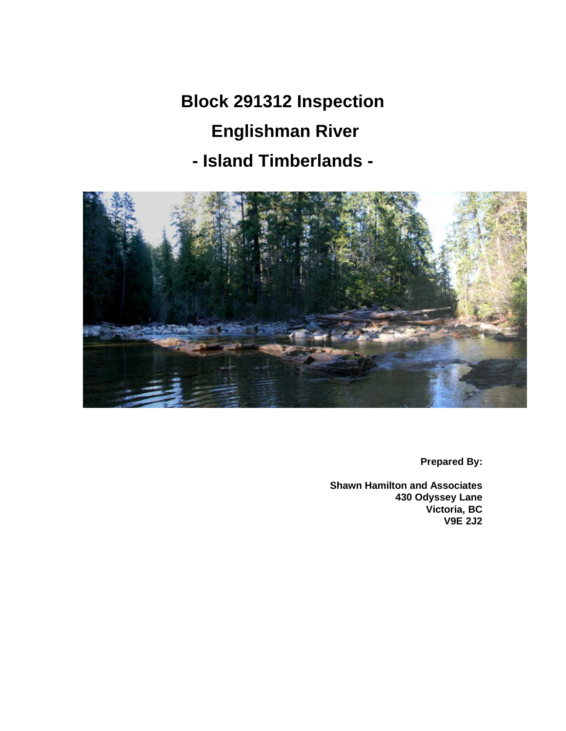**Block 291312 Inspection Englishman River - Island Timberlands -** 



**Prepared By:** 

**Shawn Hamilton and Associates 430 Odyssey Lane Victoria, BC V9E 2J2**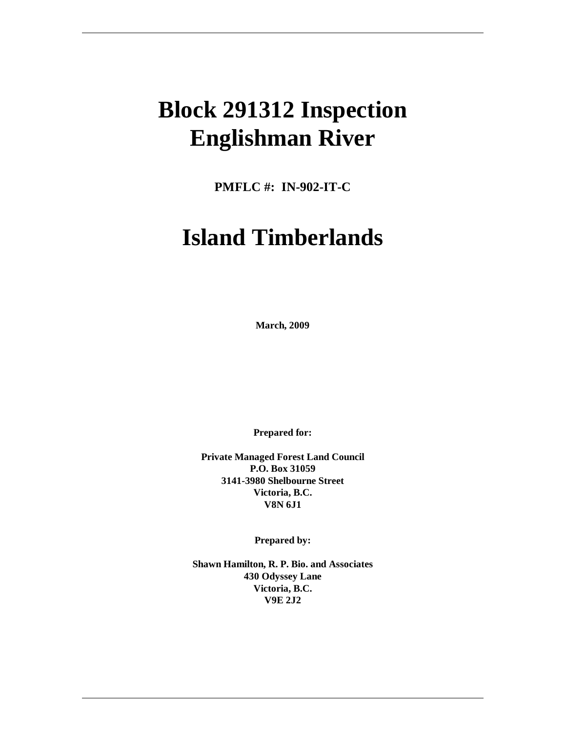# **Block 291312 Inspection Englishman River**

**PMFLC #: IN-902-IT-C** 

# **Island Timberlands**

**March, 2009** 

**Prepared for:** 

**Private Managed Forest Land Council P.O. Box 31059 3141-3980 Shelbourne Street Victoria, B.C. V8N 6J1** 

**Prepared by:** 

**Shawn Hamilton, R. P. Bio. and Associates 430 Odyssey Lane Victoria, B.C. V9E 2J2**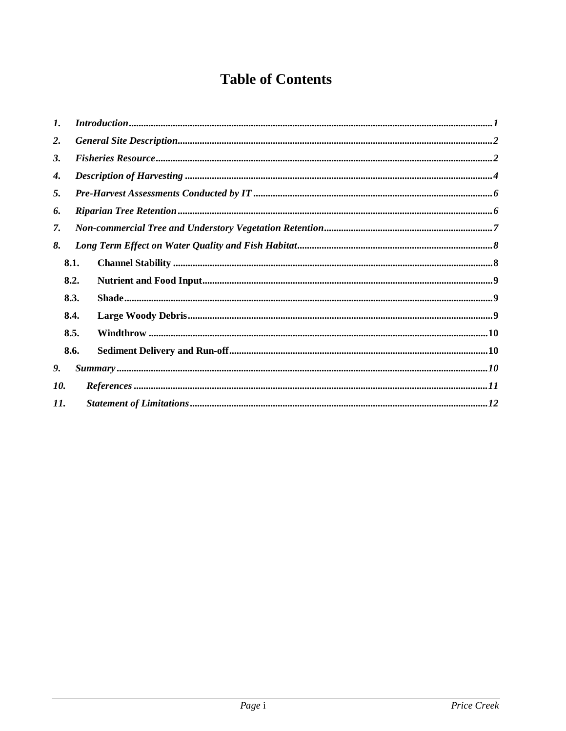# **Table of Contents**

| $\mathbf{I}$ . |      | Introduction 1.1                                                                                                          |  |
|----------------|------|---------------------------------------------------------------------------------------------------------------------------|--|
| 2.             |      |                                                                                                                           |  |
| 3.             |      |                                                                                                                           |  |
| 4.             |      |                                                                                                                           |  |
| 5.             |      |                                                                                                                           |  |
| 6.             |      |                                                                                                                           |  |
| 7.             |      |                                                                                                                           |  |
| 8.             |      |                                                                                                                           |  |
|                | 8.1. |                                                                                                                           |  |
|                | 8.2. |                                                                                                                           |  |
|                | 8.3. |                                                                                                                           |  |
|                | 8.4. |                                                                                                                           |  |
|                | 8.5. | $\mathbf{Window}\textrm{ .} \mathbf{www.} \mathbf{a.} \ldots \mathbf{a.} \mathbf{a.} \mathbf{a.} \mathbf{b.} \mathbf{10}$ |  |
|                | 8.6. |                                                                                                                           |  |
| 9.             |      |                                                                                                                           |  |
| 10.            |      |                                                                                                                           |  |
| 11.            |      |                                                                                                                           |  |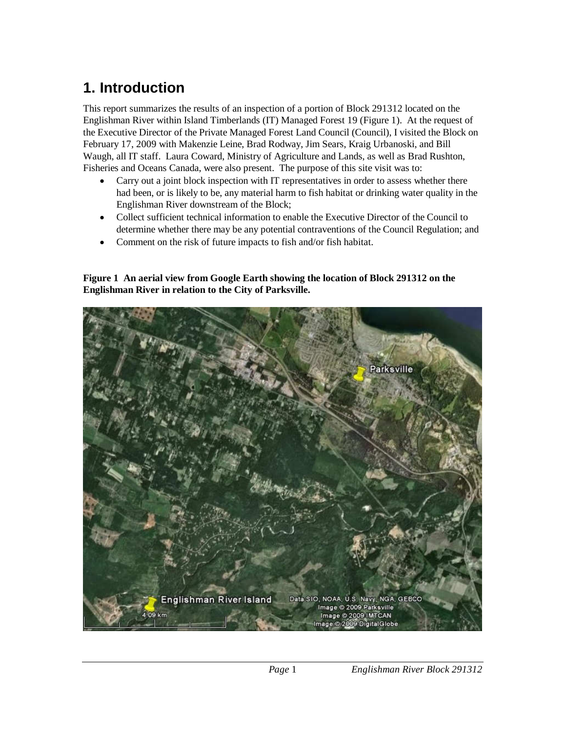# **1. Introduction**

This report summarizes the results of an inspection of a portion of Block 291312 located on the Englishman River within Island Timberlands (IT) Managed Forest 19 (Figure 1). At the request of the Executive Director of the Private Managed Forest Land Council (Council), I visited the Block on February 17, 2009 with Makenzie Leine, Brad Rodway, Jim Sears, Kraig Urbanoski, and Bill Waugh, all IT staff. Laura Coward, Ministry of Agriculture and Lands, as well as Brad Rushton, Fisheries and Oceans Canada, were also present. The purpose of this site visit was to:

- Carry out a joint block inspection with IT representatives in order to assess whether there had been, or is likely to be, any material harm to fish habitat or drinking water quality in the Englishman River downstream of the Block;
- Collect sufficient technical information to enable the Executive Director of the Council to determine whether there may be any potential contraventions of the Council Regulation; and
- Comment on the risk of future impacts to fish and/or fish habitat.

**Figure 1 An aerial view from Google Earth showing the location of Block 291312 on the Englishman River in relation to the City of Parksville.** 

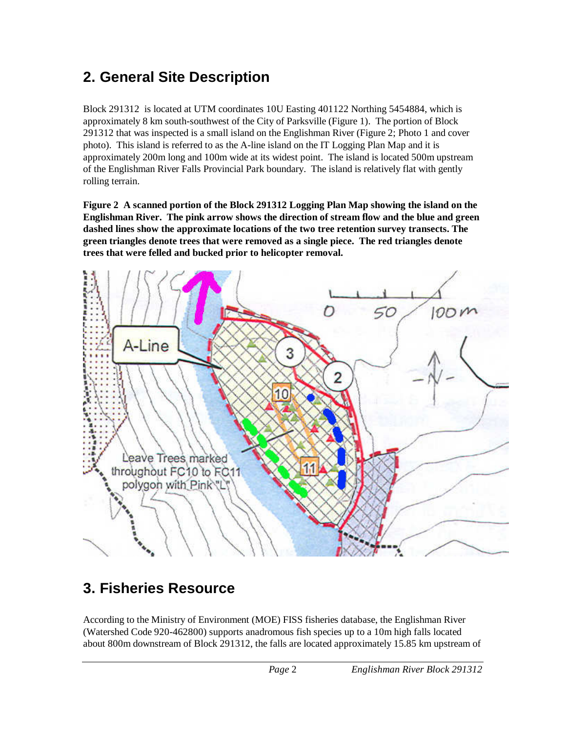# **2. General Site Description**

Block 291312 is located at UTM coordinates 10U Easting 401122 Northing 5454884, which is approximately 8 km south-southwest of the City of Parksville (Figure 1). The portion of Block 291312 that was inspected is a small island on the Englishman River (Figure 2; Photo 1 and cover photo). This island is referred to as the A-line island on the IT Logging Plan Map and it is approximately 200m long and 100m wide at its widest point. The island is located 500m upstream of the Englishman River Falls Provincial Park boundary. The island is relatively flat with gently rolling terrain.

**Figure 2 A scanned portion of the Block 291312 Logging Plan Map showing the island on the Englishman River. The pink arrow shows the direction of stream flow and the blue and green dashed lines show the approximate locations of the two tree retention survey transects. The green triangles denote trees that were removed as a single piece. The red triangles denote trees that were felled and bucked prior to helicopter removal.** 



# **3. Fisheries Resource**

According to the Ministry of Environment (MOE) FISS fisheries database, the Englishman River (Watershed Code 920-462800) supports anadromous fish species up to a 10m high falls located about 800m downstream of Block 291312, the falls are located approximately 15.85 km upstream of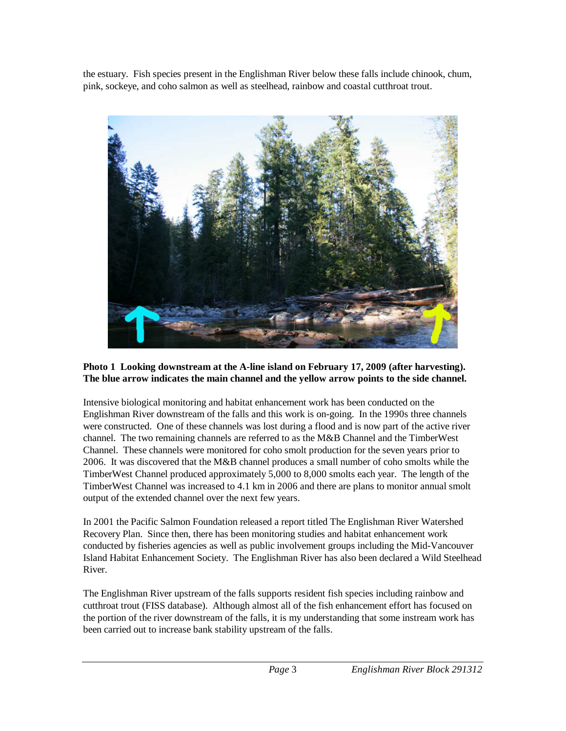the estuary. Fish species present in the Englishman River below these falls include chinook, chum, pink, sockeye, and coho salmon as well as steelhead, rainbow and coastal cutthroat trout.



#### **Photo 1 Looking downstream at the A-line island on February 17, 2009 (after harvesting). The blue arrow indicates the main channel and the yellow arrow points to the side channel.**

Intensive biological monitoring and habitat enhancement work has been conducted on the Englishman River downstream of the falls and this work is on-going. In the 1990s three channels were constructed. One of these channels was lost during a flood and is now part of the active river channel. The two remaining channels are referred to as the M&B Channel and the TimberWest Channel. These channels were monitored for coho smolt production for the seven years prior to 2006. It was discovered that the M&B channel produces a small number of coho smolts while the TimberWest Channel produced approximately 5,000 to 8,000 smolts each year. The length of the TimberWest Channel was increased to 4.1 km in 2006 and there are plans to monitor annual smolt output of the extended channel over the next few years.

In 2001 the Pacific Salmon Foundation released a report titled The Englishman River Watershed Recovery Plan. Since then, there has been monitoring studies and habitat enhancement work conducted by fisheries agencies as well as public involvement groups including the Mid-Vancouver Island Habitat Enhancement Society. The Englishman River has also been declared a Wild Steelhead River.

The Englishman River upstream of the falls supports resident fish species including rainbow and cutthroat trout (FISS database). Although almost all of the fish enhancement effort has focused on the portion of the river downstream of the falls, it is my understanding that some instream work has been carried out to increase bank stability upstream of the falls.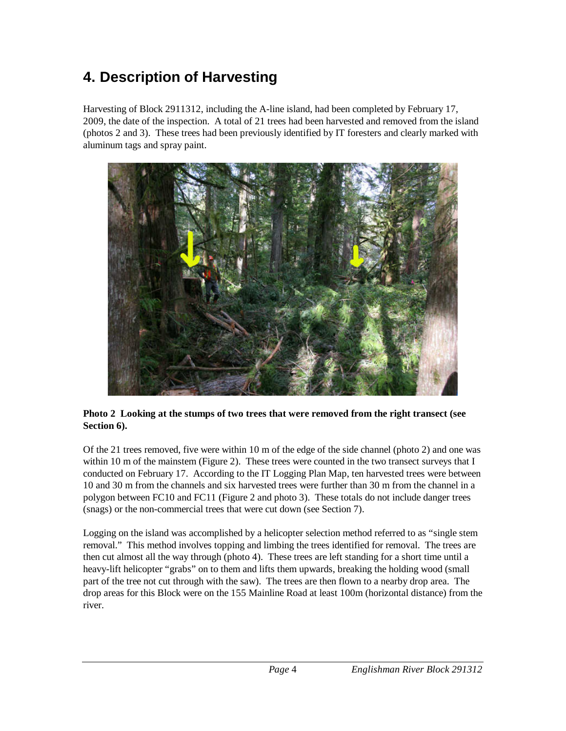# **4. Description of Harvesting**

Harvesting of Block 2911312, including the A-line island, had been completed by February 17, 2009, the date of the inspection. A total of 21 trees had been harvested and removed from the island (photos 2 and 3). These trees had been previously identified by IT foresters and clearly marked with aluminum tags and spray paint.



#### **Photo 2 Looking at the stumps of two trees that were removed from the right transect (see Section 6).**

Of the 21 trees removed, five were within 10 m of the edge of the side channel (photo 2) and one was within 10 m of the mainstem (Figure 2). These trees were counted in the two transect surveys that I conducted on February 17. According to the IT Logging Plan Map, ten harvested trees were between 10 and 30 m from the channels and six harvested trees were further than 30 m from the channel in a polygon between FC10 and FC11 (Figure 2 and photo 3). These totals do not include danger trees (snags) or the non-commercial trees that were cut down (see Section 7).

Logging on the island was accomplished by a helicopter selection method referred to as "single stem removal." This method involves topping and limbing the trees identified for removal. The trees are then cut almost all the way through (photo 4). These trees are left standing for a short time until a heavy-lift helicopter "grabs" on to them and lifts them upwards, breaking the holding wood (small part of the tree not cut through with the saw). The trees are then flown to a nearby drop area. The drop areas for this Block were on the 155 Mainline Road at least 100m (horizontal distance) from the river.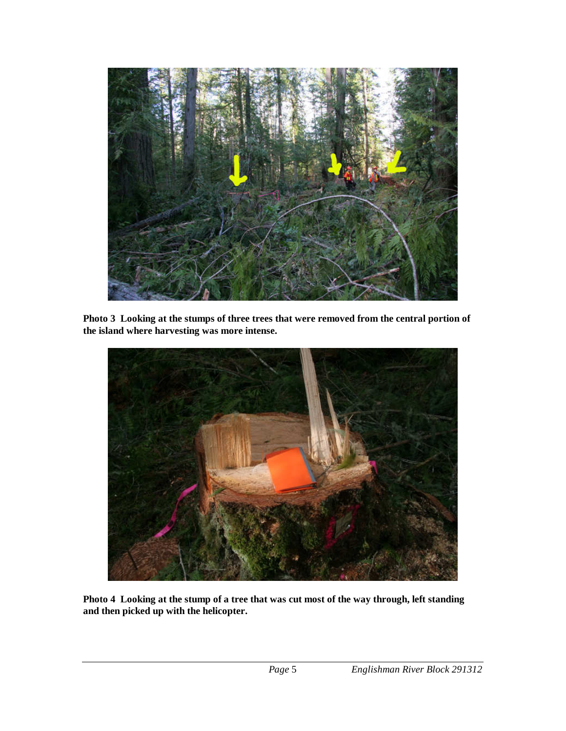

**Photo 3 Looking at the stumps of three trees that were removed from the central portion of the island where harvesting was more intense.** 



**Photo 4 Looking at the stump of a tree that was cut most of the way through, left standing and then picked up with the helicopter.**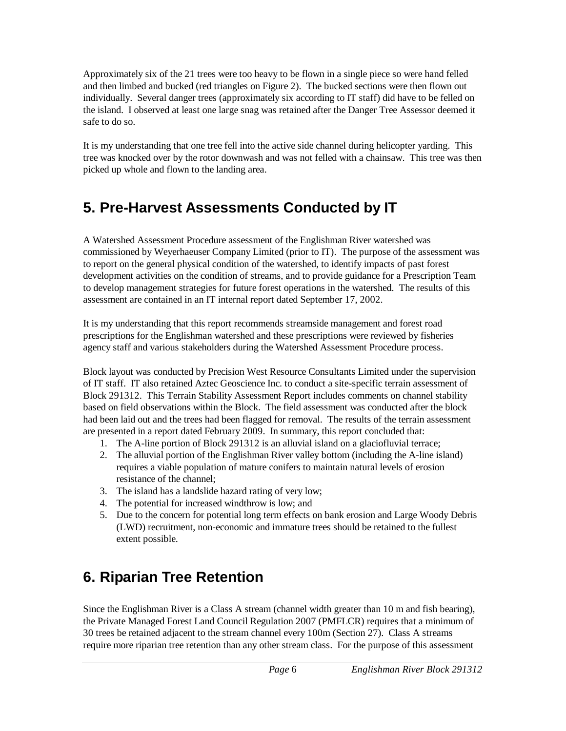Approximately six of the 21 trees were too heavy to be flown in a single piece so were hand felled and then limbed and bucked (red triangles on Figure 2). The bucked sections were then flown out individually. Several danger trees (approximately six according to IT staff) did have to be felled on the island. I observed at least one large snag was retained after the Danger Tree Assessor deemed it safe to do so.

It is my understanding that one tree fell into the active side channel during helicopter yarding. This tree was knocked over by the rotor downwash and was not felled with a chainsaw. This tree was then picked up whole and flown to the landing area.

# **5. Pre-Harvest Assessments Conducted by IT**

A Watershed Assessment Procedure assessment of the Englishman River watershed was commissioned by Weyerhaeuser Company Limited (prior to IT). The purpose of the assessment was to report on the general physical condition of the watershed, to identify impacts of past forest development activities on the condition of streams, and to provide guidance for a Prescription Team to develop management strategies for future forest operations in the watershed. The results of this assessment are contained in an IT internal report dated September 17, 2002.

It is my understanding that this report recommends streamside management and forest road prescriptions for the Englishman watershed and these prescriptions were reviewed by fisheries agency staff and various stakeholders during the Watershed Assessment Procedure process.

Block layout was conducted by Precision West Resource Consultants Limited under the supervision of IT staff. IT also retained Aztec Geoscience Inc. to conduct a site-specific terrain assessment of Block 291312. This Terrain Stability Assessment Report includes comments on channel stability based on field observations within the Block. The field assessment was conducted after the block had been laid out and the trees had been flagged for removal. The results of the terrain assessment are presented in a report dated February 2009. In summary, this report concluded that:

- 1. The A-line portion of Block 291312 is an alluvial island on a glaciofluvial terrace;
- 2. The alluvial portion of the Englishman River valley bottom (including the A-line island) requires a viable population of mature conifers to maintain natural levels of erosion resistance of the channel;
- 3. The island has a landslide hazard rating of very low;
- 4. The potential for increased windthrow is low; and
- 5. Due to the concern for potential long term effects on bank erosion and Large Woody Debris (LWD) recruitment, non-economic and immature trees should be retained to the fullest extent possible.

# **6. Riparian Tree Retention**

Since the Englishman River is a Class A stream (channel width greater than 10 m and fish bearing), the Private Managed Forest Land Council Regulation 2007 (PMFLCR) requires that a minimum of 30 trees be retained adjacent to the stream channel every 100m (Section 27). Class A streams require more riparian tree retention than any other stream class. For the purpose of this assessment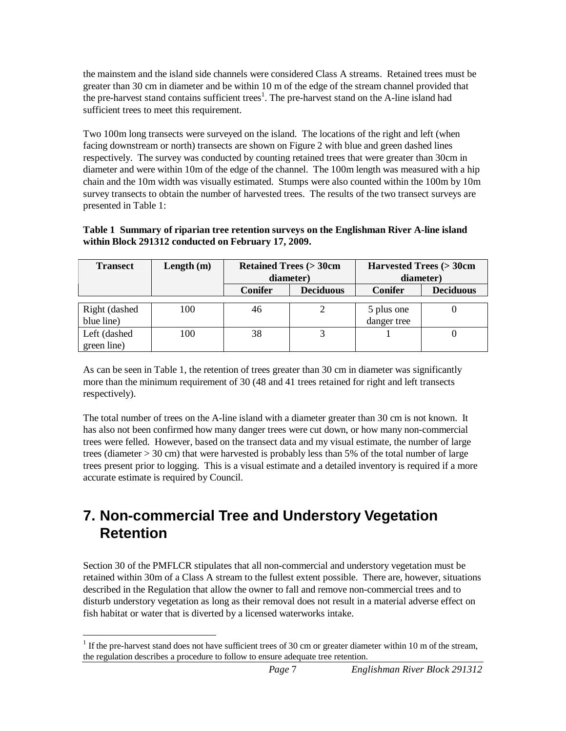the mainstem and the island side channels were considered Class A streams. Retained trees must be greater than 30 cm in diameter and be within 10 m of the edge of the stream channel provided that the pre-harvest stand contains sufficient trees<sup>1</sup>. The pre-harvest stand on the A-line island had sufficient trees to meet this requirement.

Two 100m long transects were surveyed on the island. The locations of the right and left (when facing downstream or north) transects are shown on Figure 2 with blue and green dashed lines respectively. The survey was conducted by counting retained trees that were greater than 30cm in diameter and were within 10m of the edge of the channel. The 100m length was measured with a hip chain and the 10m width was visually estimated. Stumps were also counted within the 100m by 10m survey transects to obtain the number of harvested trees. The results of the two transect surveys are presented in Table 1:

#### **Table 1 Summary of riparian tree retention surveys on the Englishman River A-line island within Block 291312 conducted on February 17, 2009.**

| <b>Transect</b> | Length $(m)$ | <b>Retained Trees (&gt; 30cm</b> |                  |                | Harvested Trees (> 30cm |  |
|-----------------|--------------|----------------------------------|------------------|----------------|-------------------------|--|
|                 |              | diameter)                        |                  | diameter)      |                         |  |
|                 |              | <b>Conifer</b>                   | <b>Deciduous</b> | <b>Conifer</b> | <b>Deciduous</b>        |  |
|                 |              |                                  |                  |                |                         |  |
| Right (dashed   | 100          | 46                               |                  | 5 plus one     |                         |  |
| blue line)      |              |                                  |                  | danger tree    |                         |  |
| Left (dashed    | 100          | 38                               |                  |                |                         |  |
| green line)     |              |                                  |                  |                |                         |  |

As can be seen in Table 1, the retention of trees greater than 30 cm in diameter was significantly more than the minimum requirement of 30 (48 and 41 trees retained for right and left transects respectively).

The total number of trees on the A-line island with a diameter greater than 30 cm is not known. It has also not been confirmed how many danger trees were cut down, or how many non-commercial trees were felled. However, based on the transect data and my visual estimate, the number of large trees (diameter > 30 cm) that were harvested is probably less than 5% of the total number of large trees present prior to logging. This is a visual estimate and a detailed inventory is required if a more accurate estimate is required by Council.

### **7. Non-commercial Tree and Understory Vegetation Retention**

Section 30 of the PMFLCR stipulates that all non-commercial and understory vegetation must be retained within 30m of a Class A stream to the fullest extent possible. There are, however, situations described in the Regulation that allow the owner to fall and remove non-commercial trees and to disturb understory vegetation as long as their removal does not result in a material adverse effect on fish habitat or water that is diverted by a licensed waterworks intake.

<sup>&</sup>lt;sup>1</sup> If the pre-harvest stand does not have sufficient trees of 30 cm or greater diameter within 10 m of the stream, the regulation describes a procedure to follow to ensure adequate tree retention.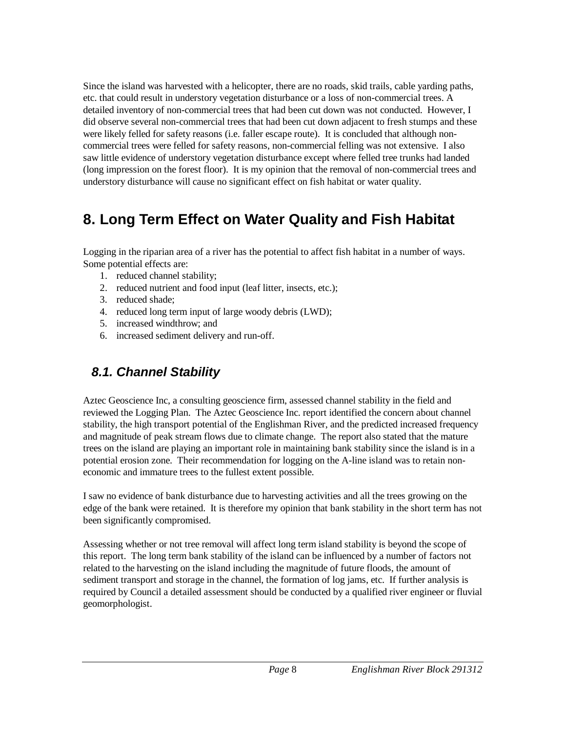Since the island was harvested with a helicopter, there are no roads, skid trails, cable yarding paths, etc. that could result in understory vegetation disturbance or a loss of non-commercial trees. A detailed inventory of non-commercial trees that had been cut down was not conducted. However, I did observe several non-commercial trees that had been cut down adjacent to fresh stumps and these were likely felled for safety reasons (i.e. faller escape route). It is concluded that although noncommercial trees were felled for safety reasons, non-commercial felling was not extensive. I also saw little evidence of understory vegetation disturbance except where felled tree trunks had landed (long impression on the forest floor). It is my opinion that the removal of non-commercial trees and understory disturbance will cause no significant effect on fish habitat or water quality.

## **8. Long Term Effect on Water Quality and Fish Habitat**

Logging in the riparian area of a river has the potential to affect fish habitat in a number of ways. Some potential effects are:

- 1. reduced channel stability;
- 2. reduced nutrient and food input (leaf litter, insects, etc.);
- 3. reduced shade;
- 4. reduced long term input of large woody debris (LWD);
- 5. increased windthrow; and
- 6. increased sediment delivery and run-off.

#### **8.1. Channel Stability**

Aztec Geoscience Inc, a consulting geoscience firm, assessed channel stability in the field and reviewed the Logging Plan. The Aztec Geoscience Inc. report identified the concern about channel stability, the high transport potential of the Englishman River, and the predicted increased frequency and magnitude of peak stream flows due to climate change. The report also stated that the mature trees on the island are playing an important role in maintaining bank stability since the island is in a potential erosion zone. Their recommendation for logging on the A-line island was to retain noneconomic and immature trees to the fullest extent possible.

I saw no evidence of bank disturbance due to harvesting activities and all the trees growing on the edge of the bank were retained. It is therefore my opinion that bank stability in the short term has not been significantly compromised.

Assessing whether or not tree removal will affect long term island stability is beyond the scope of this report. The long term bank stability of the island can be influenced by a number of factors not related to the harvesting on the island including the magnitude of future floods, the amount of sediment transport and storage in the channel, the formation of log jams, etc. If further analysis is required by Council a detailed assessment should be conducted by a qualified river engineer or fluvial geomorphologist.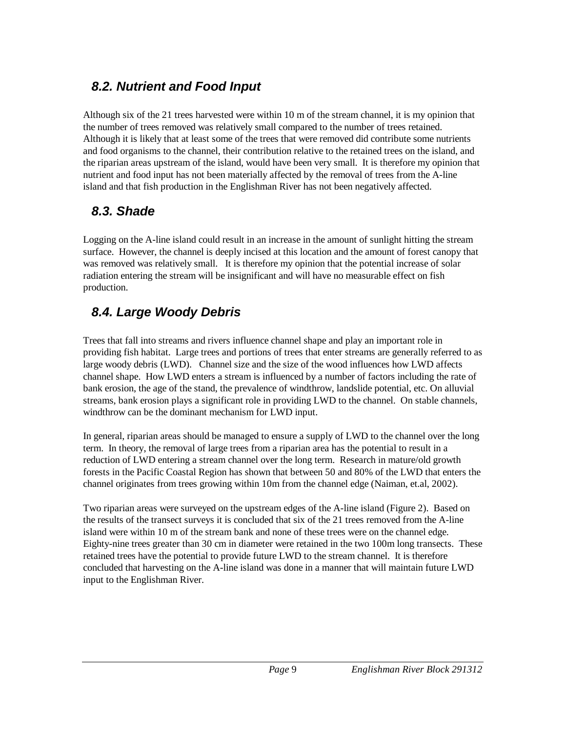#### **8.2. Nutrient and Food Input**

Although six of the 21 trees harvested were within 10 m of the stream channel, it is my opinion that the number of trees removed was relatively small compared to the number of trees retained. Although it is likely that at least some of the trees that were removed did contribute some nutrients and food organisms to the channel, their contribution relative to the retained trees on the island, and the riparian areas upstream of the island, would have been very small. It is therefore my opinion that nutrient and food input has not been materially affected by the removal of trees from the A-line island and that fish production in the Englishman River has not been negatively affected.

#### **8.3. Shade**

Logging on the A-line island could result in an increase in the amount of sunlight hitting the stream surface. However, the channel is deeply incised at this location and the amount of forest canopy that was removed was relatively small. It is therefore my opinion that the potential increase of solar radiation entering the stream will be insignificant and will have no measurable effect on fish production.

### **8.4. Large Woody Debris**

Trees that fall into streams and rivers influence channel shape and play an important role in providing fish habitat. Large trees and portions of trees that enter streams are generally referred to as large woody debris (LWD). Channel size and the size of the wood influences how LWD affects channel shape. How LWD enters a stream is influenced by a number of factors including the rate of bank erosion, the age of the stand, the prevalence of windthrow, landslide potential, etc. On alluvial streams, bank erosion plays a significant role in providing LWD to the channel. On stable channels, windthrow can be the dominant mechanism for LWD input.

In general, riparian areas should be managed to ensure a supply of LWD to the channel over the long term. In theory, the removal of large trees from a riparian area has the potential to result in a reduction of LWD entering a stream channel over the long term. Research in mature/old growth forests in the Pacific Coastal Region has shown that between 50 and 80% of the LWD that enters the channel originates from trees growing within 10m from the channel edge (Naiman, et.al, 2002).

Two riparian areas were surveyed on the upstream edges of the A-line island (Figure 2). Based on the results of the transect surveys it is concluded that six of the 21 trees removed from the A-line island were within 10 m of the stream bank and none of these trees were on the channel edge. Eighty-nine trees greater than 30 cm in diameter were retained in the two 100m long transects. These retained trees have the potential to provide future LWD to the stream channel. It is therefore concluded that harvesting on the A-line island was done in a manner that will maintain future LWD input to the Englishman River.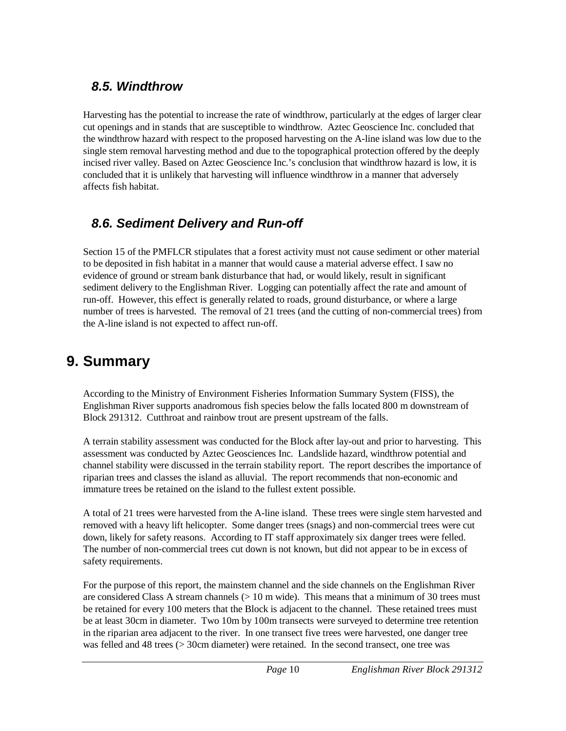#### **8.5. Windthrow**

Harvesting has the potential to increase the rate of windthrow, particularly at the edges of larger clear cut openings and in stands that are susceptible to windthrow. Aztec Geoscience Inc. concluded that the windthrow hazard with respect to the proposed harvesting on the A-line island was low due to the single stem removal harvesting method and due to the topographical protection offered by the deeply incised river valley. Based on Aztec Geoscience Inc.'s conclusion that windthrow hazard is low, it is concluded that it is unlikely that harvesting will influence windthrow in a manner that adversely affects fish habitat.

#### **8.6. Sediment Delivery and Run-off**

Section 15 of the PMFLCR stipulates that a forest activity must not cause sediment or other material to be deposited in fish habitat in a manner that would cause a material adverse effect. I saw no evidence of ground or stream bank disturbance that had, or would likely, result in significant sediment delivery to the Englishman River. Logging can potentially affect the rate and amount of run-off. However, this effect is generally related to roads, ground disturbance, or where a large number of trees is harvested. The removal of 21 trees (and the cutting of non-commercial trees) from the A-line island is not expected to affect run-off.

# **9. Summary**

According to the Ministry of Environment Fisheries Information Summary System (FISS), the Englishman River supports anadromous fish species below the falls located 800 m downstream of Block 291312. Cutthroat and rainbow trout are present upstream of the falls.

A terrain stability assessment was conducted for the Block after lay-out and prior to harvesting. This assessment was conducted by Aztec Geosciences Inc. Landslide hazard, windthrow potential and channel stability were discussed in the terrain stability report. The report describes the importance of riparian trees and classes the island as alluvial. The report recommends that non-economic and immature trees be retained on the island to the fullest extent possible.

A total of 21 trees were harvested from the A-line island. These trees were single stem harvested and removed with a heavy lift helicopter. Some danger trees (snags) and non-commercial trees were cut down, likely for safety reasons. According to IT staff approximately six danger trees were felled. The number of non-commercial trees cut down is not known, but did not appear to be in excess of safety requirements.

For the purpose of this report, the mainstem channel and the side channels on the Englishman River are considered Class A stream channels  $(> 10 \text{ m wide})$ . This means that a minimum of 30 trees must be retained for every 100 meters that the Block is adjacent to the channel. These retained trees must be at least 30cm in diameter. Two 10m by 100m transects were surveyed to determine tree retention in the riparian area adjacent to the river. In one transect five trees were harvested, one danger tree was felled and 48 trees (> 30cm diameter) were retained. In the second transect, one tree was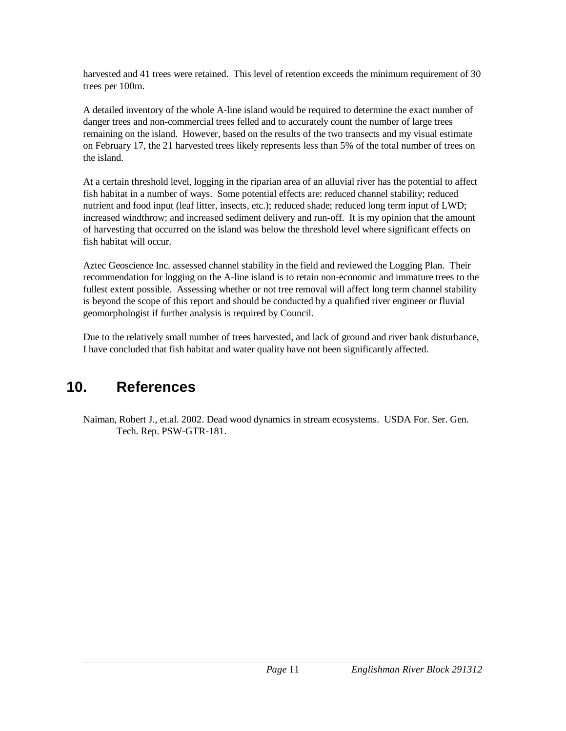harvested and 41 trees were retained. This level of retention exceeds the minimum requirement of 30 trees per 100m.

A detailed inventory of the whole A-line island would be required to determine the exact number of danger trees and non-commercial trees felled and to accurately count the number of large trees remaining on the island. However, based on the results of the two transects and my visual estimate on February 17, the 21 harvested trees likely represents less than 5% of the total number of trees on the island.

At a certain threshold level, logging in the riparian area of an alluvial river has the potential to affect fish habitat in a number of ways. Some potential effects are: reduced channel stability; reduced nutrient and food input (leaf litter, insects, etc.); reduced shade; reduced long term input of LWD; increased windthrow; and increased sediment delivery and run-off. It is my opinion that the amount of harvesting that occurred on the island was below the threshold level where significant effects on fish habitat will occur.

Aztec Geoscience Inc. assessed channel stability in the field and reviewed the Logging Plan. Their recommendation for logging on the A-line island is to retain non-economic and immature trees to the fullest extent possible. Assessing whether or not tree removal will affect long term channel stability is beyond the scope of this report and should be conducted by a qualified river engineer or fluvial geomorphologist if further analysis is required by Council.

Due to the relatively small number of trees harvested, and lack of ground and river bank disturbance, I have concluded that fish habitat and water quality have not been significantly affected.

### **10. References**

Naiman, Robert J., et.al. 2002. Dead wood dynamics in stream ecosystems. USDA For. Ser. Gen. Tech. Rep. PSW-GTR-181.